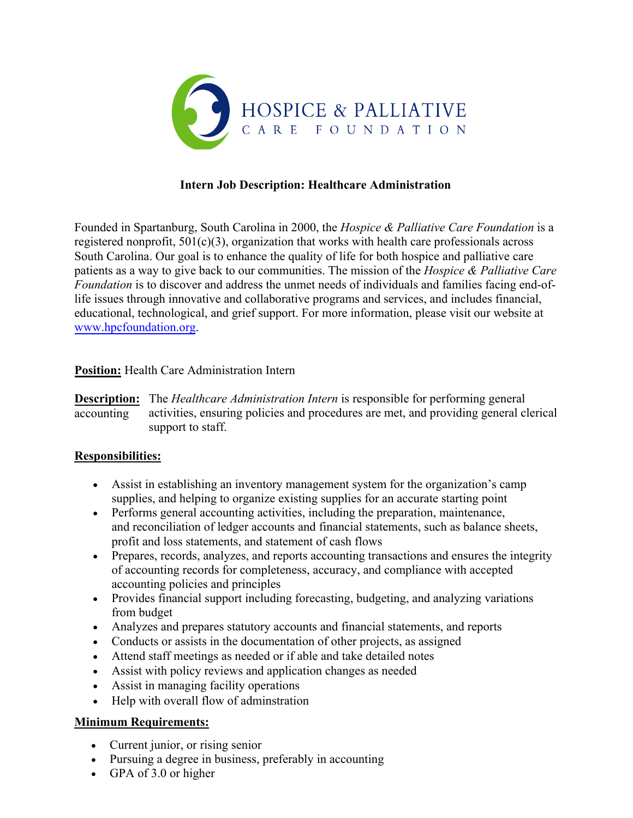

## **Intern Job Description: Healthcare Administration**

Founded in Spartanburg, South Carolina in 2000, the *Hospice & Palliative Care Foundation* is a registered nonprofit,  $501(c)(3)$ , organization that works with health care professionals across South Carolina. Our goal is to enhance the quality of life for both hospice and palliative care patients as a way to give back to our communities. The mission of the *Hospice & Palliative Care Foundation* is to discover and address the unmet needs of individuals and families facing end-oflife issues through innovative and collaborative programs and services, and includes financial, educational, technological, and grief support. For more information, please visit our website at www.hpcfoundation.org.

## **Position:** Health Care Administration Intern

**Description:** The *Healthcare Administration Intern* is responsible for performing general accounting activities, ensuring policies and procedures are met, and providing general clerical support to staff.

## **Responsibilities:**

- Assist in establishing an inventory management system for the organization's camp supplies, and helping to organize existing supplies for an accurate starting point
- Performs general accounting activities, including the preparation, maintenance, and reconciliation of ledger accounts and financial statements, such as balance sheets, profit and loss statements, and statement of cash flows
- Prepares, records, analyzes, and reports accounting transactions and ensures the integrity of accounting records for completeness, accuracy, and compliance with accepted accounting policies and principles
- Provides financial support including forecasting, budgeting, and analyzing variations from budget
- Analyzes and prepares statutory accounts and financial statements, and reports
- Conducts or assists in the documentation of other projects, as assigned
- Attend staff meetings as needed or if able and take detailed notes
- Assist with policy reviews and application changes as needed
- Assist in managing facility operations
- Help with overall flow of adminstration

# **Minimum Requirements:**

- Current junior, or rising senior
- Pursuing a degree in business, preferably in accounting
- GPA of 3.0 or higher